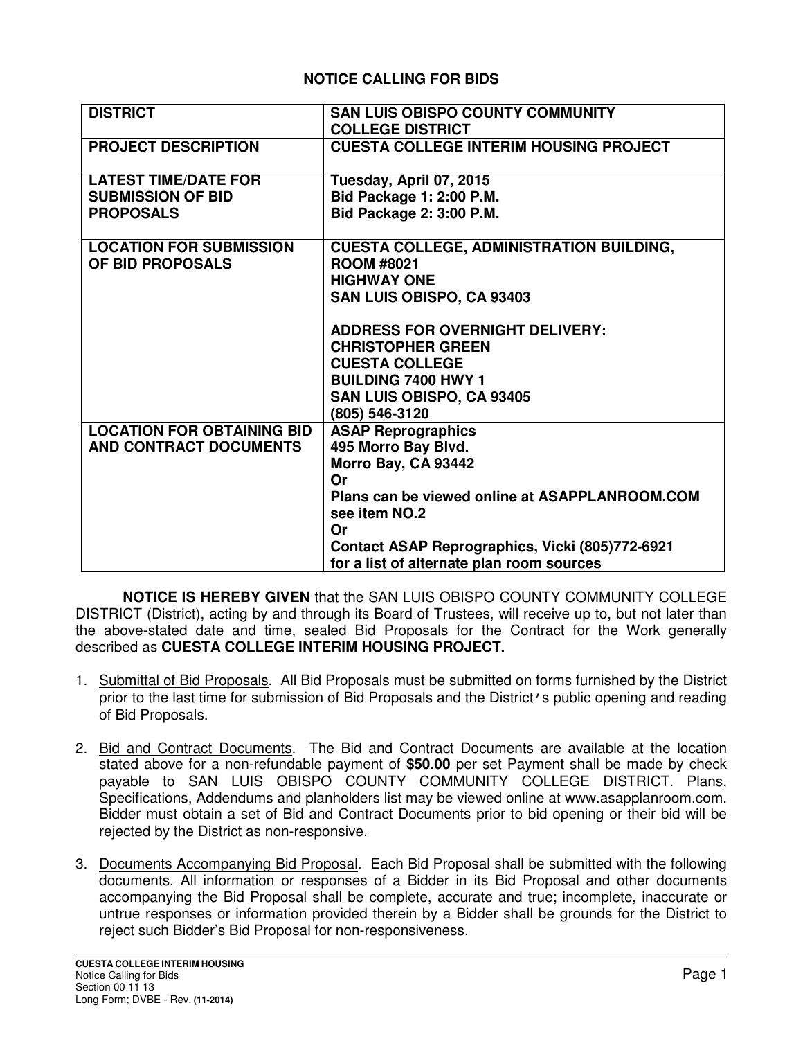## **NOTICE CALLING FOR BIDS**

| <b>DISTRICT</b>                                                             | <b>SAN LUIS OBISPO COUNTY COMMUNITY</b><br><b>COLLEGE DISTRICT</b>                                                                                                                                                                                                                                  |
|-----------------------------------------------------------------------------|-----------------------------------------------------------------------------------------------------------------------------------------------------------------------------------------------------------------------------------------------------------------------------------------------------|
| <b>PROJECT DESCRIPTION</b>                                                  | <b>CUESTA COLLEGE INTERIM HOUSING PROJECT</b>                                                                                                                                                                                                                                                       |
| <b>LATEST TIME/DATE FOR</b><br><b>SUBMISSION OF BID</b><br><b>PROPOSALS</b> | Tuesday, April 07, 2015<br>Bid Package 1: 2:00 P.M.<br><b>Bid Package 2: 3:00 P.M.</b>                                                                                                                                                                                                              |
| <b>LOCATION FOR SUBMISSION</b><br>OF BID PROPOSALS                          | <b>CUESTA COLLEGE, ADMINISTRATION BUILDING,</b><br><b>ROOM #8021</b><br><b>HIGHWAY ONE</b><br>SAN LUIS OBISPO, CA 93403<br><b>ADDRESS FOR OVERNIGHT DELIVERY:</b><br><b>CHRISTOPHER GREEN</b><br><b>CUESTA COLLEGE</b><br><b>BUILDING 7400 HWY 1</b><br>SAN LUIS OBISPO, CA 93405<br>(805) 546-3120 |
| <b>LOCATION FOR OBTAINING BID</b><br><b>AND CONTRACT DOCUMENTS</b>          | <b>ASAP Reprographics</b><br>495 Morro Bay Blvd.<br>Morro Bay, CA 93442<br>Or<br>Plans can be viewed online at ASAPPLANROOM.COM<br>see item NO.2<br>Or<br>Contact ASAP Reprographics, Vicki (805)772-6921<br>for a list of alternate plan room sources                                              |

**NOTICE IS HEREBY GIVEN** that the SAN LUIS OBISPO COUNTY COMMUNITY COLLEGE DISTRICT (District), acting by and through its Board of Trustees, will receive up to, but not later than the above-stated date and time, sealed Bid Proposals for the Contract for the Work generally described as **CUESTA COLLEGE INTERIM HOUSING PROJECT.** 

- 1. Submittal of Bid Proposals. All Bid Proposals must be submitted on forms furnished by the District prior to the last time for submission of Bid Proposals and the District's public opening and reading of Bid Proposals.
- 2. Bid and Contract Documents. The Bid and Contract Documents are available at the location stated above for a non-refundable payment of **\$50.00** per set Payment shall be made by check payable to SAN LUIS OBISPO COUNTY COMMUNITY COLLEGE DISTRICT. Plans, Specifications, Addendums and planholders list may be viewed online at www.asapplanroom.com. Bidder must obtain a set of Bid and Contract Documents prior to bid opening or their bid will be rejected by the District as non-responsive.
- 3. Documents Accompanying Bid Proposal. Each Bid Proposal shall be submitted with the following documents. All information or responses of a Bidder in its Bid Proposal and other documents accompanying the Bid Proposal shall be complete, accurate and true; incomplete, inaccurate or untrue responses or information provided therein by a Bidder shall be grounds for the District to reject such Bidder's Bid Proposal for non-responsiveness.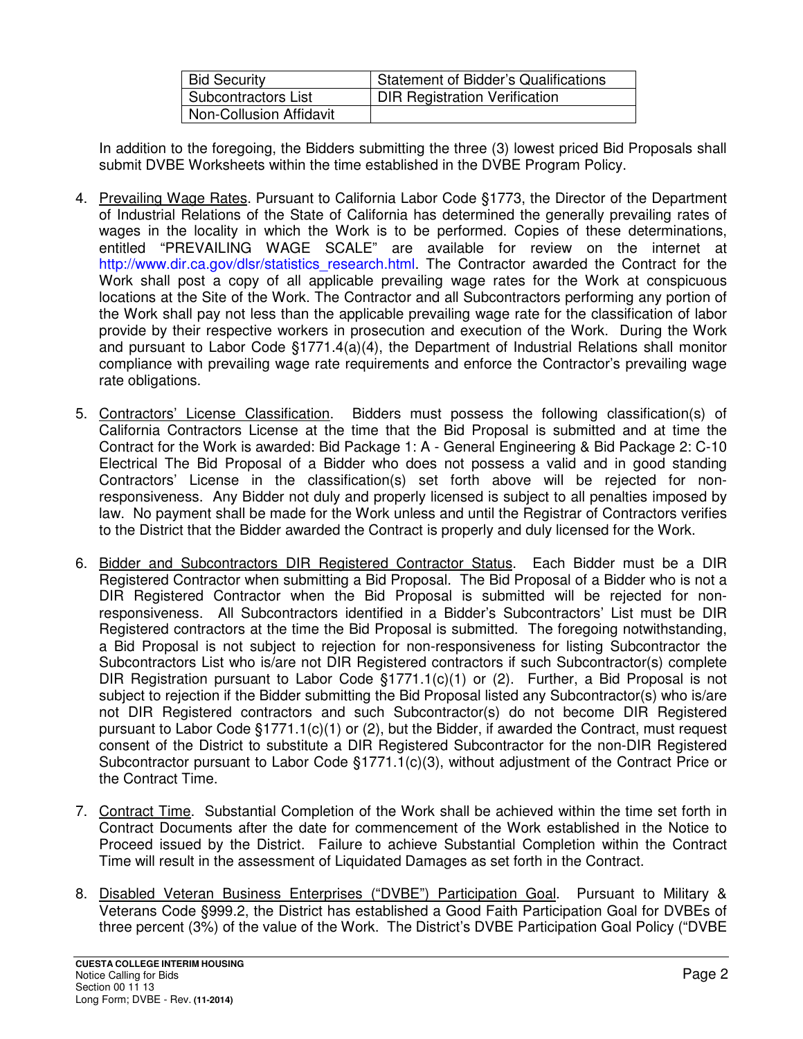| <b>Bid Security</b>            | Statement of Bidder's Qualifications |
|--------------------------------|--------------------------------------|
| <b>Subcontractors List</b>     | <b>DIR Registration Verification</b> |
| <b>Non-Collusion Affidavit</b> |                                      |

In addition to the foregoing, the Bidders submitting the three (3) lowest priced Bid Proposals shall submit DVBE Worksheets within the time established in the DVBE Program Policy.

- 4. Prevailing Wage Rates. Pursuant to California Labor Code §1773, the Director of the Department of Industrial Relations of the State of California has determined the generally prevailing rates of wages in the locality in which the Work is to be performed. Copies of these determinations, entitled "PREVAILING WAGE SCALE" are available for review on the internet at http://www.dir.ca.gov/dlsr/statistics\_research.html\_The Contractor awarded the Contract for the Work shall post a copy of all applicable prevailing wage rates for the Work at conspicuous locations at the Site of the Work. The Contractor and all Subcontractors performing any portion of the Work shall pay not less than the applicable prevailing wage rate for the classification of labor provide by their respective workers in prosecution and execution of the Work. During the Work and pursuant to Labor Code  $\S1771.4(a)(4)$ , the Department of Industrial Relations shall monitor compliance with prevailing wage rate requirements and enforce the Contractor's prevailing wage rate obligations.
- 5. Contractors' License Classification. Bidders must possess the following classification(s) of California Contractors License at the time that the Bid Proposal is submitted and at time the Contract for the Work is awarded: Bid Package 1: A - General Engineering & Bid Package 2: C-10 Electrical The Bid Proposal of a Bidder who does not possess a valid and in good standing Contractors' License in the classification(s) set forth above will be rejected for nonresponsiveness. Any Bidder not duly and properly licensed is subject to all penalties imposed by law. No payment shall be made for the Work unless and until the Registrar of Contractors verifies to the District that the Bidder awarded the Contract is properly and duly licensed for the Work.
- 6. Bidder and Subcontractors DIR Registered Contractor Status. Each Bidder must be a DIR Registered Contractor when submitting a Bid Proposal. The Bid Proposal of a Bidder who is not a DIR Registered Contractor when the Bid Proposal is submitted will be rejected for nonresponsiveness. All Subcontractors identified in a Bidder's Subcontractors' List must be DIR Registered contractors at the time the Bid Proposal is submitted. The foregoing notwithstanding, a Bid Proposal is not subject to rejection for non-responsiveness for listing Subcontractor the Subcontractors List who is/are not DIR Registered contractors if such Subcontractor(s) complete DIR Registration pursuant to Labor Code §1771.1(c)(1) or (2). Further, a Bid Proposal is not subject to rejection if the Bidder submitting the Bid Proposal listed any Subcontractor(s) who is/are not DIR Registered contractors and such Subcontractor(s) do not become DIR Registered pursuant to Labor Code §1771.1(c)(1) or (2), but the Bidder, if awarded the Contract, must request consent of the District to substitute a DIR Registered Subcontractor for the non-DIR Registered Subcontractor pursuant to Labor Code §1771.1(c)(3), without adjustment of the Contract Price or the Contract Time.
- 7. Contract Time. Substantial Completion of the Work shall be achieved within the time set forth in Contract Documents after the date for commencement of the Work established in the Notice to Proceed issued by the District. Failure to achieve Substantial Completion within the Contract Time will result in the assessment of Liquidated Damages as set forth in the Contract.
- 8. Disabled Veteran Business Enterprises ("DVBE") Participation Goal. Pursuant to Military & Veterans Code §999.2, the District has established a Good Faith Participation Goal for DVBEs of three percent (3%) of the value of the Work. The District's DVBE Participation Goal Policy ("DVBE